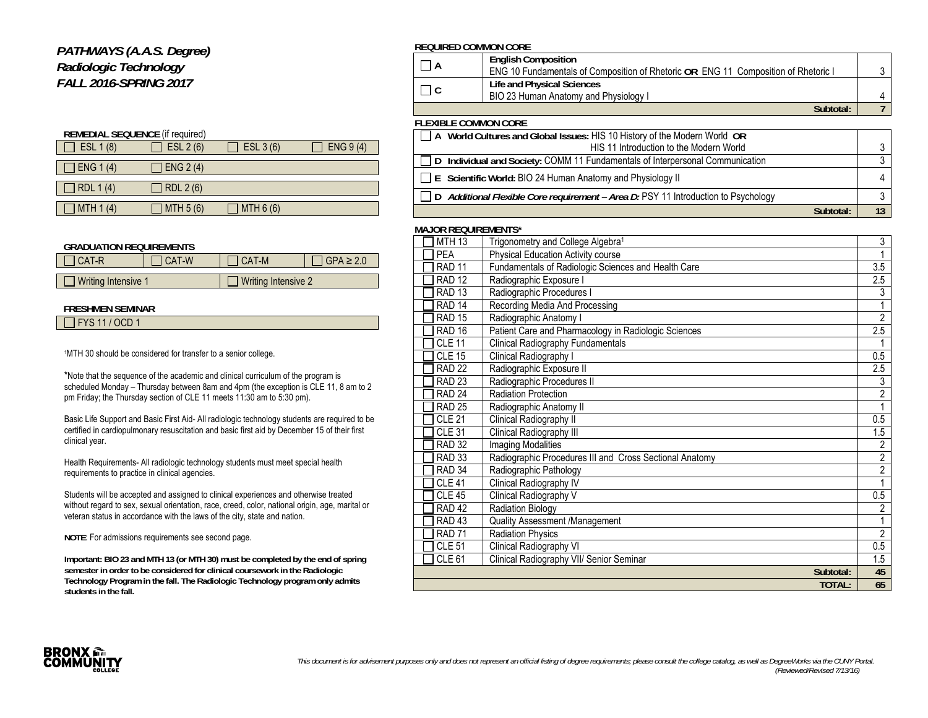## *PATHWAYS (A.A.S. Degree) Radiologic Technology FALL 2016-SPRING 2017*

| <b>REMEDIAL SEQUENCE (if required)</b> |           |           |           |  |  |  |
|----------------------------------------|-----------|-----------|-----------|--|--|--|
| ESL 1 (8)                              | ESL 2 (6) | ESL 3 (6) | ENG 9 (4) |  |  |  |
|                                        |           |           |           |  |  |  |
| $\Box$ ENG 1 (4)                       | ENG 2(4)  |           |           |  |  |  |
| $\Box$ RDL 1(4)                        | RDL 2 (6) |           |           |  |  |  |
| ] MTH 1 (4)                            | MTH 5 (6) | MTH 6(6)  |           |  |  |  |

#### **GRADUATION REQUIREMENTS**

| I CAT-R                    | CAT-W | I CAT-M             | $'$ GPA $\geq$ 2.0 |
|----------------------------|-------|---------------------|--------------------|
| $\Box$ Writing Intensive 1 |       | Writing Intensive 2 |                    |

### **FRESHMEN SEMINAR**

|--|

1MTH 30 should be considered for transfer to a senior college.

\*Note that the sequence of the academic and clinical curriculum of the program is scheduled Monday – Thursday between 8am and 4pm (the exception is CLE 11, 8 am to 2 pm Friday; the Thursday section of CLE 11 meets 11:30 am to 5:30 pm).

Basic Life Support and Basic First Aid- All radiologic technology students are required to be certified in cardiopulmonary resuscitation and basic first aid by December 15 of their first clinical year.

Health Requirements- All radiologic technology students must meet special health requirements to practice in clinical agencies.

Students will be accepted and assigned to clinical experiences and otherwise treated without regard to sex, sexual orientation, race, creed, color, national origin, age, marital or veteran status in accordance with the laws of the city, state and nation.

**NOTE**: For admissions requirements see second page.

**Important: BIO 23 and MTH 13 (or MTH 30) must be completed by the end of spring semester in order to be considered for clinical coursework in the Radiologic Technology Program in the fall. The Radiologic Technology program only admits students in the fall.** 

#### **REQUIRED COMMON CORE**

|                             | <b>English Composition</b>                                                         |  |
|-----------------------------|------------------------------------------------------------------------------------|--|
|                             | ENG 10 Fundamentals of Composition of Rhetoric OR ENG 11 Composition of Rhetoric I |  |
|                             | Life and Physical Sciences                                                         |  |
|                             | BIO 23 Human Anatomy and Physiology I                                              |  |
|                             | Subtotal:                                                                          |  |
| <b>FLEXIBLE COMMON CORE</b> |                                                                                    |  |

| A World Cultures and Global Issues: HIS 10 History of the Modern World OR                 |  |
|-------------------------------------------------------------------------------------------|--|
| HIS 11 Introduction to the Modern World                                                   |  |
| □ D Individual and Society: COMM 11 Fundamentals of Interpersonal Communication           |  |
| $\Box$ E Scientific World: BIO 24 Human Anatomy and Physiology II                         |  |
| $\Box$ D Additional Flexible Core requirement - Area D: PSY 11 Introduction to Psychology |  |
| Subtotal:                                                                                 |  |

#### **MAJOR REQUIREMENTS\***

| <b>MTH 13</b>     | Trigonometry and College Algebra <sup>1</sup>           | 3              |
|-------------------|---------------------------------------------------------|----------------|
| <b>PEA</b>        | Physical Education Activity course                      |                |
| RAD <sub>11</sub> | Fundamentals of Radiologic Sciences and Health Care     | 3.5            |
| <b>RAD 12</b>     | Radiographic Exposure I                                 | 2.5            |
| <b>RAD 13</b>     | Radiographic Procedures I                               | 3              |
| RAD <sub>14</sub> | Recording Media And Processing                          |                |
| <b>RAD 15</b>     | Radiographic Anatomy I                                  | $\mathfrak{p}$ |
| RAD <sub>16</sub> | Patient Care and Pharmacology in Radiologic Sciences    | 2.5            |
| <b>CLE 11</b>     | <b>Clinical Radiography Fundamentals</b>                |                |
| <b>CLE 15</b>     | Clinical Radiography I                                  | 0.5            |
| <b>RAD 22</b>     | Radiographic Exposure II                                | 2.5            |
| RAD <sub>23</sub> | Radiographic Procedures II                              | 3              |
| <b>RAD 24</b>     | <b>Radiation Protection</b>                             | $\overline{2}$ |
| <b>RAD 25</b>     | Radiographic Anatomy II                                 |                |
| <b>CLE 21</b>     | Clinical Radiography II                                 | 0.5            |
| <b>CLE 31</b>     | Clinical Radiography III                                | 1.5            |
| <b>RAD 32</b>     | <b>Imaging Modalities</b>                               | $\overline{2}$ |
| <b>RAD 33</b>     | Radiographic Procedures III and Cross Sectional Anatomy | $\overline{2}$ |
| RAD <sub>34</sub> | Radiographic Pathology                                  | $\overline{2}$ |
| <b>CLE 41</b>     | Clinical Radiography IV                                 |                |
| <b>CLE 45</b>     | Clinical Radiography V                                  | 0.5            |
| RAD <sub>42</sub> | <b>Radiation Biology</b>                                | 2              |
| RAD <sub>43</sub> | Quality Assessment /Management                          |                |
| <b>RAD 71</b>     | Radiation Physics                                       | $\mathfrak{p}$ |
| <b>CLE 51</b>     | Clinical Radiography VI                                 | 0.5            |
| <b>CLE 61</b>     | Clinical Radiography VII/ Senior Seminar                | 1.5            |
|                   | Subtotal:                                               | 45             |
|                   | TOTAL:                                                  | 65             |